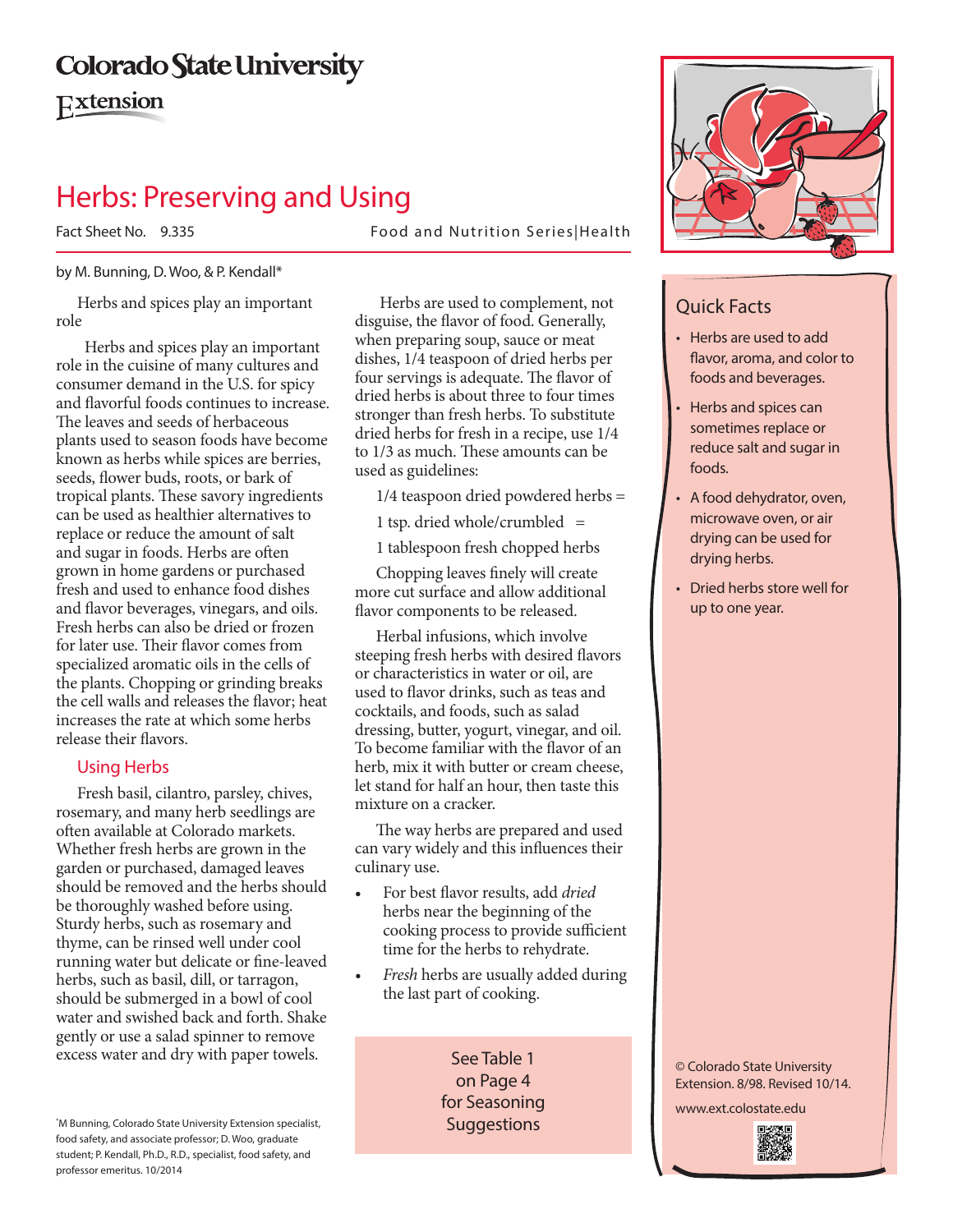# **Colorado State University**

Extension

## Herbs: Preserving and Using

Fact Sheet No. 9.335 Food and Nutrition Series|Health

#### by M. Bunning, D. Woo, & P. Kendall\*

Herbs and spices play an important role

 Herbs and spices play an important role in the cuisine of many cultures and consumer demand in the U.S. for spicy and flavorful foods continues to increase. The leaves and seeds of herbaceous plants used to season foods have become known as herbs while spices are berries, seeds, flower buds, roots, or bark of tropical plants. These savory ingredients can be used as healthier alternatives to replace or reduce the amount of salt and sugar in foods. Herbs are often grown in home gardens or purchased fresh and used to enhance food dishes and flavor beverages, vinegars, and oils. Fresh herbs can also be dried or frozen for later use. Their flavor comes from specialized aromatic oils in the cells of the plants. Chopping or grinding breaks the cell walls and releases the flavor; heat increases the rate at which some herbs release their flavors.

## Using Herbs

Fresh basil, cilantro, parsley, chives, rosemary, and many herb seedlings are often available at Colorado markets. Whether fresh herbs are grown in the garden or purchased, damaged leaves should be removed and the herbs should be thoroughly washed before using. Sturdy herbs, such as rosemary and thyme, can be rinsed well under cool running water but delicate or fine-leaved herbs, such as basil, dill, or tarragon, should be submerged in a bowl of cool water and swished back and forth. Shake gently or use a salad spinner to remove excess water and dry with paper towels.

\* M Bunning, Colorado State University Extension specialist, food safety, and associate professor; D. Woo, graduate student; P. Kendall, Ph.D., R.D., specialist, food safety, and professor emeritus. 10/2014

 Herbs are used to complement, not disguise, the flavor of food. Generally, when preparing soup, sauce or meat dishes, 1/4 teaspoon of dried herbs per four servings is adequate. The flavor of dried herbs is about three to four times stronger than fresh herbs. To substitute dried herbs for fresh in a recipe, use 1/4 to 1/3 as much. These amounts can be used as guidelines:

1/4 teaspoon dried powdered herbs =

1 tsp. dried whole/crumbled  $=$ 

1 tablespoon fresh chopped herbs

Chopping leaves finely will create more cut surface and allow additional flavor components to be released.

Herbal infusions, which involve steeping fresh herbs with desired flavors or characteristics in water or oil, are used to flavor drinks, such as teas and cocktails, and foods, such as salad dressing, butter, yogurt, vinegar, and oil. To become familiar with the flavor of an herb, mix it with butter or cream cheese, let stand for half an hour, then taste this mixture on a cracker.

The way herbs are prepared and used can vary widely and this influences their culinary use.

- For best flavor results, add *dried* herbs near the beginning of the cooking process to provide sufficient time for the herbs to rehydrate.
- *Fresh* herbs are usually added during the last part of cooking.

See Table 1 on Page 4 for Seasoning **Suggestions** 



## Quick Facts

- • Herbs are used to add flavor, aroma, and color to foods and beverages.
- Herbs and spices can sometimes replace or reduce salt and sugar in foods.
- A food dehydrator, oven, microwave oven, or air drying can be used for drying herbs.
- Dried herbs store well for up to one year.

© Colorado State University Extension. 8/98. Revised 10/14.

www.ext.colostate.edu

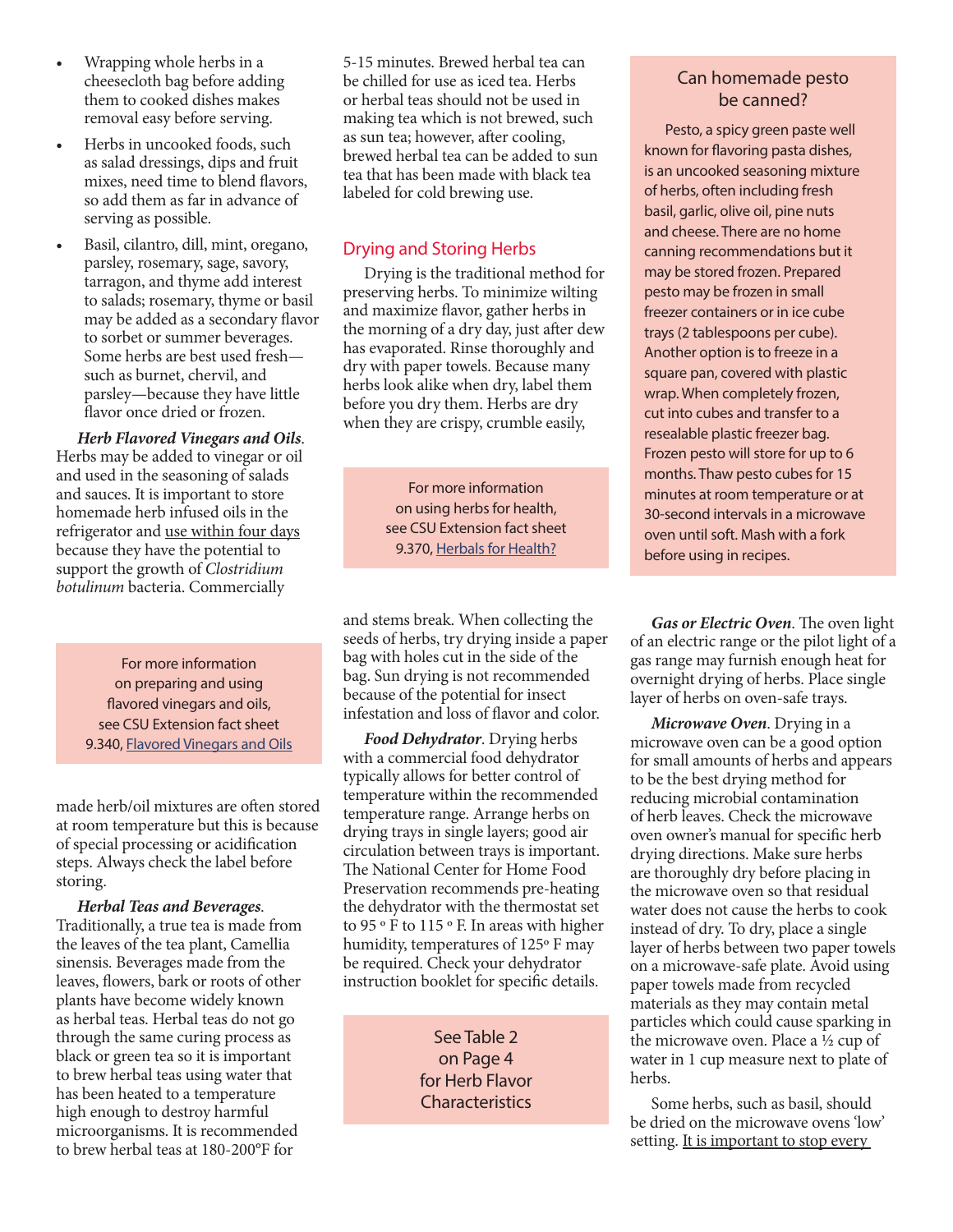- Wrapping whole herbs in a cheesecloth bag before adding them to cooked dishes makes removal easy before serving.
- Herbs in uncooked foods, such as salad dressings, dips and fruit mixes, need time to blend flavors, so add them as far in advance of serving as possible.
- Basil, cilantro, dill, mint, oregano, parsley, rosemary, sage, savory, tarragon, and thyme add interest to salads; rosemary, thyme or basil may be added as a secondary flavor to sorbet or summer beverages. Some herbs are best used fresh such as burnet, chervil, and parsley—because they have little flavor once dried or frozen.

*Herb Flavored Vinegars and Oils*. Herbs may be added to vinegar or oil and used in the seasoning of salads and sauces. It is important to store homemade herb infused oils in the refrigerator and use within four days because they have the potential to support the growth of *Clostridium botulinum* bacteria. Commercially

> For more information on preparing and using flavored vinegars and oils, see CSU Extension fact sheet 9.340, Flavored Vinegars and Oils

made herb/oil mixtures are often stored at room temperature but this is because of special processing or acidification steps. Always check the label before storing.

*Herbal Teas and Beverages*. Traditionally, a true tea is made from the leaves of the tea plant, Camellia sinensis. Beverages made from the leaves, flowers, bark or roots of other plants have become widely known as herbal teas. Herbal teas do not go through the same curing process as black or green tea so it is important to brew herbal teas using water that has been heated to a temperature high enough to destroy harmful microorganisms. It is recommended to brew herbal teas at 180-200°F for

5-15 minutes. Brewed herbal tea can be chilled for use as iced tea. Herbs or herbal teas should not be used in making tea which is not brewed, such as sun tea; however, after cooling, brewed herbal tea can be added to sun tea that has been made with black tea labeled for cold brewing use.

## Drying and Storing Herbs

Drying is the traditional method for preserving herbs. To minimize wilting and maximize flavor, gather herbs in the morning of a dry day, just after dew has evaporated. Rinse thoroughly and dry with paper towels. Because many herbs look alike when dry, label them before you dry them. Herbs are dry when they are crispy, crumble easily,

> For more information on using herbs for health, see CSU Extension fact sheet 9.370, Herbals for Health?

and stems break. When collecting the seeds of herbs, try drying inside a paper bag with holes cut in the side of the bag. Sun drying is not recommended because of the potential for insect infestation and loss of flavor and color.

*Food Dehydrator*. Drying herbs with a commercial food dehydrator typically allows for better control of temperature within the recommended temperature range. Arrange herbs on drying trays in single layers; good air circulation between trays is important. The National Center for Home Food Preservation recommends pre-heating the dehydrator with the thermostat set to 95 º F to 115 º F. In areas with higher humidity, temperatures of 125º F may be required. Check your dehydrator instruction booklet for specific details.

> See Table 2 on Page 4 for Herb Flavor **Characteristics**

## Can homemade pesto be canned?

Pesto, a spicy green paste well known for flavoring pasta dishes, is an uncooked seasoning mixture of herbs, often including fresh basil, garlic, olive oil, pine nuts and cheese. There are no home canning recommendations but it may be stored frozen. Prepared pesto may be frozen in small freezer containers or in ice cube trays (2 tablespoons per cube). Another option is to freeze in a square pan, covered with plastic wrap. When completely frozen, cut into cubes and transfer to a resealable plastic freezer bag. Frozen pesto will store for up to 6 months. Thaw pesto cubes for 15 minutes at room temperature or at 30-second intervals in a microwave oven until soft. Mash with a fork before using in recipes.

*Gas or Electric Oven*. The oven light of an electric range or the pilot light of a gas range may furnish enough heat for overnight drying of herbs. Place single layer of herbs on oven-safe trays.

*Microwave Oven*. Drying in a microwave oven can be a good option for small amounts of herbs and appears to be the best drying method for reducing microbial contamination of herb leaves. Check the microwave oven owner's manual for specific herb drying directions. Make sure herbs are thoroughly dry before placing in the microwave oven so that residual water does not cause the herbs to cook instead of dry. To dry, place a single layer of herbs between two paper towels on a microwave-safe plate. Avoid using paper towels made from recycled materials as they may contain metal particles which could cause sparking in the microwave oven. Place a ½ cup of water in 1 cup measure next to plate of herbs.

Some herbs, such as basil, should be dried on the microwave ovens 'low' setting. It is important to stop every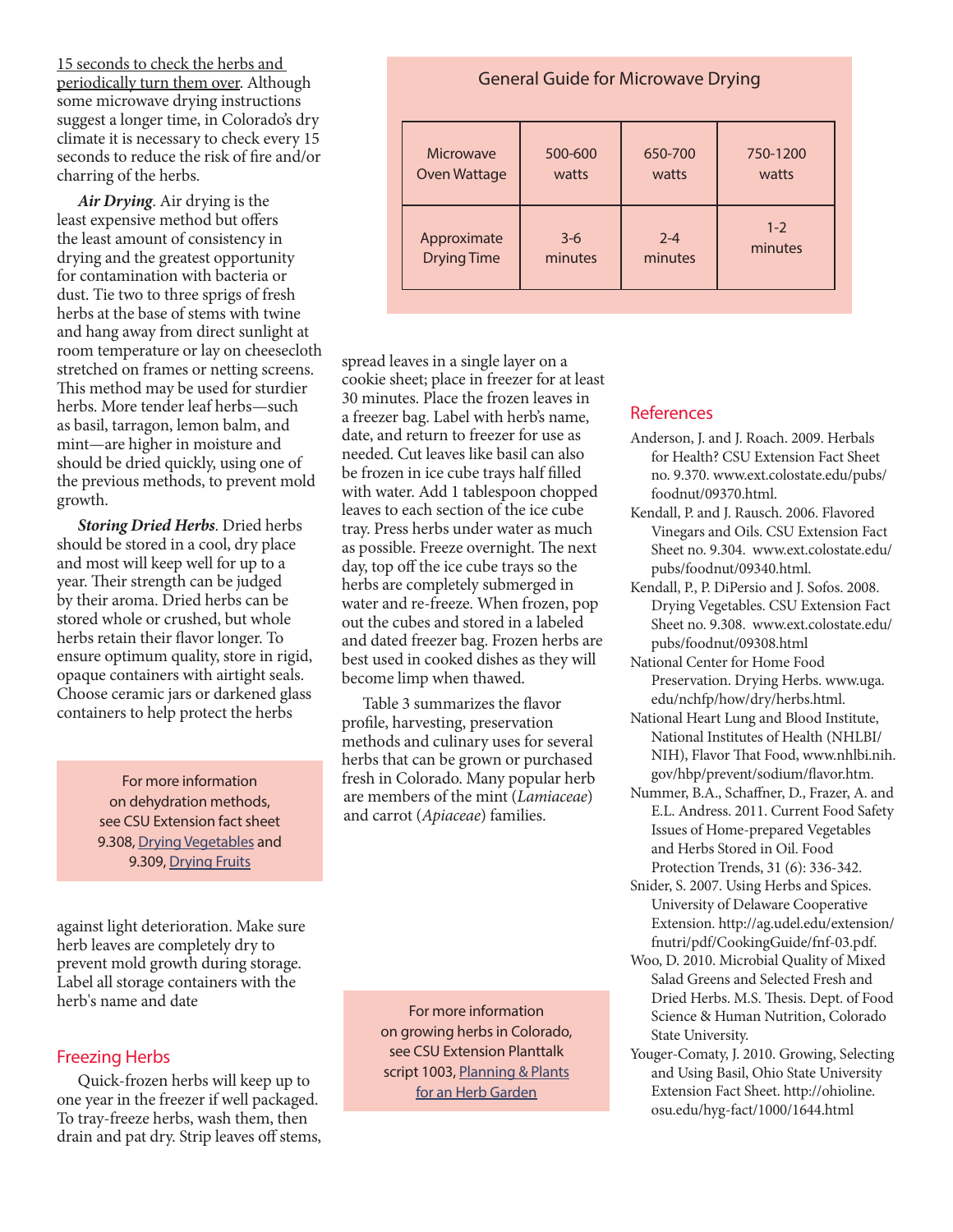15 seconds to check the herbs and periodically turn them over. Although some microwave drying instructions suggest a longer time, in Colorado's dry climate it is necessary to check every 15 seconds to reduce the risk of fire and/or charring of the herbs.

*Air Drying*. Air drying is the least expensive method but offers the least amount of consistency in drying and the greatest opportunity for contamination with bacteria or dust. Tie two to three sprigs of fresh herbs at the base of stems with twine and hang away from direct sunlight at room temperature or lay on cheesecloth stretched on frames or netting screens. This method may be used for sturdier herbs. More tender leaf herbs—such as basil, tarragon, lemon balm, and mint—are higher in moisture and should be dried quickly, using one of the previous methods, to prevent mold growth.

*Storing Dried Herbs*. Dried herbs should be stored in a cool, dry place and most will keep well for up to a year. Their strength can be judged by their aroma. Dried herbs can be stored whole or crushed, but whole herbs retain their flavor longer. To ensure optimum quality, store in rigid, opaque containers with airtight seals. Choose ceramic jars or darkened glass containers to help protect the herbs

> For more information on dehydration methods, see CSU Extension fact sheet 9.308, Drying Vegetables and 9.309, Drying Fruits

against light deterioration. Make sure herb leaves are completely dry to prevent mold growth during storage. Label all storage containers with the herb's name and date

## Freezing Herbs

Quick-frozen herbs will keep up to one year in the freezer if well packaged. To tray-freeze herbs, wash them, then drain and pat dry. Strip leaves off stems,

General Guide for Microwave Drying Microwave Oven Wattage 500-600 watts 650-700 watts 750-1200 watts Approximate Drying Time 3-6 minutes 2-4 minutes  $1 - 2$ minutes

spread leaves in a single layer on a cookie sheet; place in freezer for at least 30 minutes. Place the frozen leaves in a freezer bag. Label with herb's name, date, and return to freezer for use as needed. Cut leaves like basil can also be frozen in ice cube trays half filled with water. Add 1 tablespoon chopped leaves to each section of the ice cube tray. Press herbs under water as much as possible. Freeze overnight. The next day, top off the ice cube trays so the herbs are completely submerged in water and re-freeze. When frozen, pop out the cubes and stored in a labeled and dated freezer bag. Frozen herbs are best used in cooked dishes as they will become limp when thawed.

Table 3 summarizes the flavor profile, harvesting, preservation methods and culinary uses for several herbs that can be grown or purchased fresh in Colorado. Many popular herb are members of the mint (*Lamiaceae*) and carrot (*Apiaceae*) families.

> For more information on growing herbs in Colorado, see CSU Extension Planttalk script 1003, Planning & Plants for an Herb Garden

### References

- Anderson, J. and J. Roach. 2009. Herbals for Health? CSU Extension Fact Sheet no. 9.370. www.ext.colostate.edu/pubs/ foodnut/09370.html.
- Kendall, P. and J. Rausch. 2006. Flavored Vinegars and Oils. CSU Extension Fact Sheet no. 9.304. www.ext.colostate.edu/ pubs/foodnut/09340.html.
- Kendall, P., P. DiPersio and J. Sofos. 2008. Drying Vegetables. CSU Extension Fact Sheet no. 9.308. www.ext.colostate.edu/ pubs/foodnut/09308.html
- National Center for Home Food Preservation. Drying Herbs. www.uga. edu/nchfp/how/dry/herbs.html.
- National Heart Lung and Blood Institute, National Institutes of Health (NHLBI/ NIH), Flavor That Food, www.nhlbi.nih. gov/hbp/prevent/sodium/flavor.htm.
- Nummer, B.A., Schaffner, D., Frazer, A. and E.L. Andress. 2011. Current Food Safety Issues of Home-prepared Vegetables and Herbs Stored in Oil. Food Protection Trends, 31 (6): 336-342.
- Snider, S. 2007. Using Herbs and Spices. University of Delaware Cooperative Extension. http://ag.udel.edu/extension/ fnutri/pdf/CookingGuide/fnf-03.pdf.
- Woo, D. 2010. Microbial Quality of Mixed Salad Greens and Selected Fresh and Dried Herbs. M.S. Thesis. Dept. of Food Science & Human Nutrition, Colorado State University.
- Youger-Comaty, J. 2010. Growing, Selecting and Using Basil, Ohio State University Extension Fact Sheet. http://ohioline. osu.edu/hyg-fact/1000/1644.html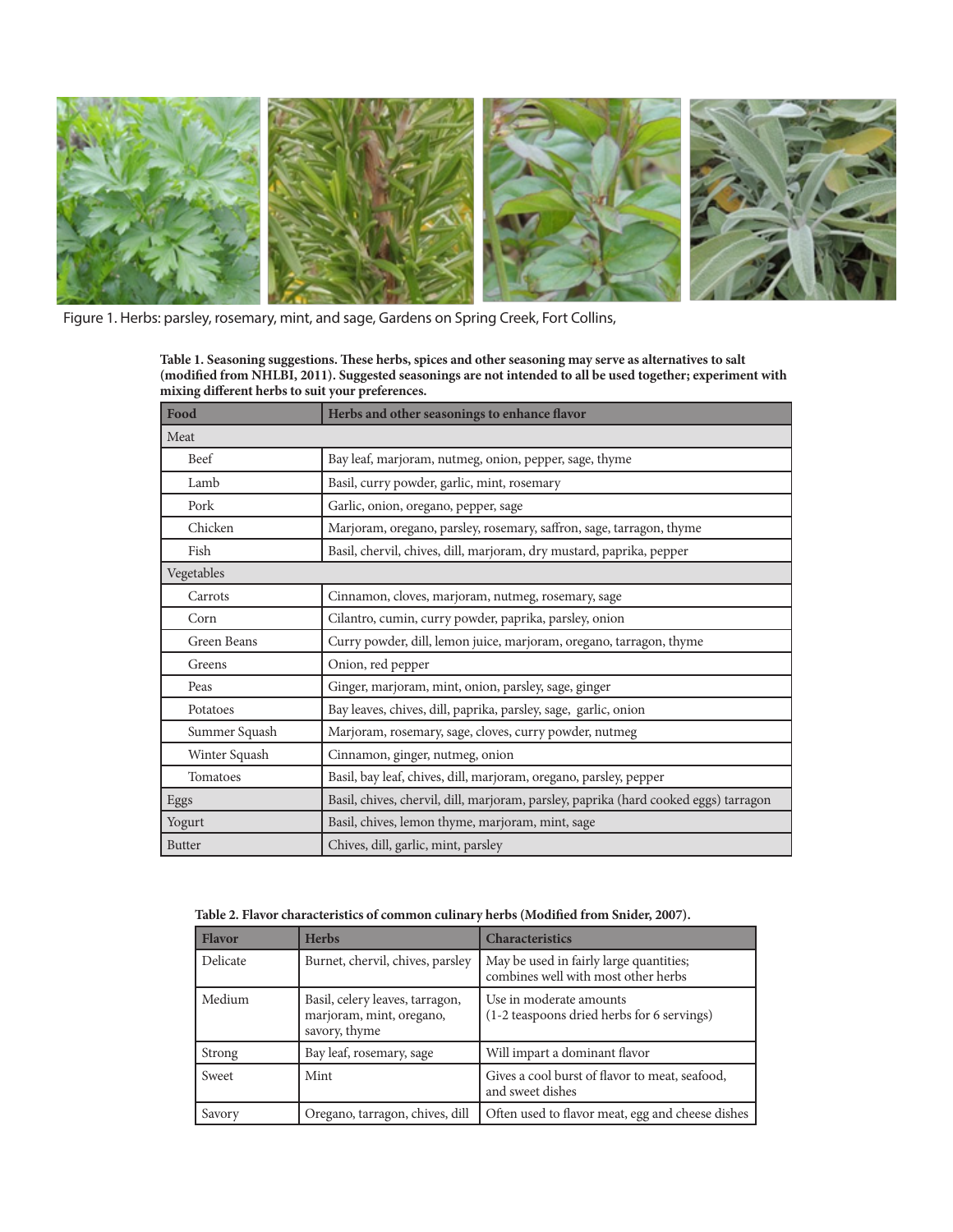

Figure 1. Herbs: parsley, rosemary, mint, and sage, Gardens on Spring Creek, Fort Collins,

**Table 1. Seasoning suggestions. These herbs, spices and other seasoning may serve as alternatives to salt (modified from NHLBI, 2011). Suggested seasonings are not intended to all be used together; experiment with mixing different herbs to suit your preferences.**

| Food          | Herbs and other seasonings to enhance flavor                                         |  |
|---------------|--------------------------------------------------------------------------------------|--|
| Meat          |                                                                                      |  |
| Beef          | Bay leaf, marjoram, nutmeg, onion, pepper, sage, thyme                               |  |
| Lamb          | Basil, curry powder, garlic, mint, rosemary                                          |  |
| Pork          | Garlic, onion, oregano, pepper, sage                                                 |  |
| Chicken       | Marjoram, oregano, parsley, rosemary, saffron, sage, tarragon, thyme                 |  |
| Fish          | Basil, chervil, chives, dill, marjoram, dry mustard, paprika, pepper                 |  |
| Vegetables    |                                                                                      |  |
| Carrots       | Cinnamon, cloves, marjoram, nutmeg, rosemary, sage                                   |  |
| Corn          | Cilantro, cumin, curry powder, paprika, parsley, onion                               |  |
| Green Beans   | Curry powder, dill, lemon juice, marjoram, oregano, tarragon, thyme                  |  |
| Greens        | Onion, red pepper                                                                    |  |
| Peas          | Ginger, marjoram, mint, onion, parsley, sage, ginger                                 |  |
| Potatoes      | Bay leaves, chives, dill, paprika, parsley, sage, garlic, onion                      |  |
| Summer Squash | Marjoram, rosemary, sage, cloves, curry powder, nutmeg                               |  |
| Winter Squash | Cinnamon, ginger, nutmeg, onion                                                      |  |
| Tomatoes      | Basil, bay leaf, chives, dill, marjoram, oregano, parsley, pepper                    |  |
| Eggs          | Basil, chives, chervil, dill, marjoram, parsley, paprika (hard cooked eggs) tarragon |  |
| Yogurt        | Basil, chives, lemon thyme, marjoram, mint, sage                                     |  |
| <b>Butter</b> | Chives, dill, garlic, mint, parsley                                                  |  |

**Table 2. Flavor characteristics of common culinary herbs (Modified from Snider, 2007).**

| <b>Flavor</b> | <b>Herbs</b>                                                                 | <b>Characteristics</b>                                                         |
|---------------|------------------------------------------------------------------------------|--------------------------------------------------------------------------------|
| Delicate      | Burnet, chervil, chives, parsley                                             | May be used in fairly large quantities;<br>combines well with most other herbs |
| Medium        | Basil, celery leaves, tarragon,<br>marjoram, mint, oregano,<br>savory, thyme | Use in moderate amounts<br>(1-2 teaspoons dried herbs for 6 servings)          |
| Strong        | Bay leaf, rosemary, sage                                                     | Will impart a dominant flavor                                                  |
| Sweet         | Mint                                                                         | Gives a cool burst of flavor to meat, seafood,<br>and sweet dishes             |
| Savory        | Oregano, tarragon, chives, dill                                              | Often used to flavor meat, egg and cheese dishes                               |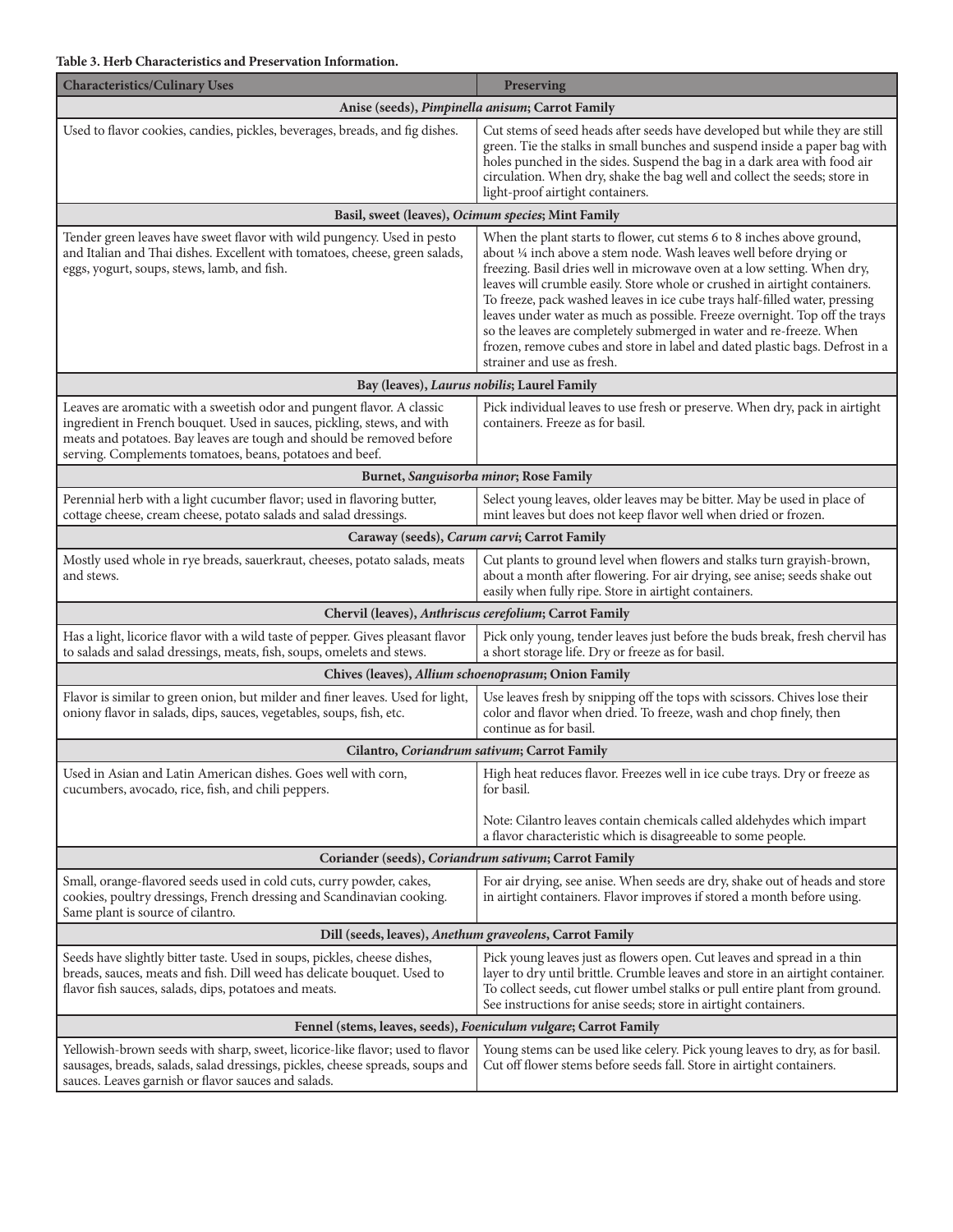| <b>Characteristics/Culinary Uses</b>                                                                                                                                                                                                                                                   | Preserving                                                                                                                                                                                                                                                                                                                                                                                                                                                                                                                                                                                                                                                 |  |  |  |
|----------------------------------------------------------------------------------------------------------------------------------------------------------------------------------------------------------------------------------------------------------------------------------------|------------------------------------------------------------------------------------------------------------------------------------------------------------------------------------------------------------------------------------------------------------------------------------------------------------------------------------------------------------------------------------------------------------------------------------------------------------------------------------------------------------------------------------------------------------------------------------------------------------------------------------------------------------|--|--|--|
|                                                                                                                                                                                                                                                                                        | Anise (seeds), Pimpinella anisum; Carrot Family                                                                                                                                                                                                                                                                                                                                                                                                                                                                                                                                                                                                            |  |  |  |
| Used to flavor cookies, candies, pickles, beverages, breads, and fig dishes.                                                                                                                                                                                                           | Cut stems of seed heads after seeds have developed but while they are still<br>green. Tie the stalks in small bunches and suspend inside a paper bag with<br>holes punched in the sides. Suspend the bag in a dark area with food air<br>circulation. When dry, shake the bag well and collect the seeds; store in<br>light-proof airtight containers.                                                                                                                                                                                                                                                                                                     |  |  |  |
|                                                                                                                                                                                                                                                                                        | Basil, sweet (leaves), Ocimum species; Mint Family                                                                                                                                                                                                                                                                                                                                                                                                                                                                                                                                                                                                         |  |  |  |
| Tender green leaves have sweet flavor with wild pungency. Used in pesto<br>and Italian and Thai dishes. Excellent with tomatoes, cheese, green salads,<br>eggs, yogurt, soups, stews, lamb, and fish.                                                                                  | When the plant starts to flower, cut stems 6 to 8 inches above ground,<br>about 1/4 inch above a stem node. Wash leaves well before drying or<br>freezing. Basil dries well in microwave oven at a low setting. When dry,<br>leaves will crumble easily. Store whole or crushed in airtight containers.<br>To freeze, pack washed leaves in ice cube trays half-filled water, pressing<br>leaves under water as much as possible. Freeze overnight. Top off the trays<br>so the leaves are completely submerged in water and re-freeze. When<br>frozen, remove cubes and store in label and dated plastic bags. Defrost in a<br>strainer and use as fresh. |  |  |  |
|                                                                                                                                                                                                                                                                                        | Bay (leaves), Laurus nobilis; Laurel Family                                                                                                                                                                                                                                                                                                                                                                                                                                                                                                                                                                                                                |  |  |  |
| Leaves are aromatic with a sweetish odor and pungent flavor. A classic<br>ingredient in French bouquet. Used in sauces, pickling, stews, and with<br>meats and potatoes. Bay leaves are tough and should be removed before<br>serving. Complements tomatoes, beans, potatoes and beef. | Pick individual leaves to use fresh or preserve. When dry, pack in airtight<br>containers. Freeze as for basil.                                                                                                                                                                                                                                                                                                                                                                                                                                                                                                                                            |  |  |  |
|                                                                                                                                                                                                                                                                                        | Burnet, Sanguisorba minor; Rose Family                                                                                                                                                                                                                                                                                                                                                                                                                                                                                                                                                                                                                     |  |  |  |
| Perennial herb with a light cucumber flavor; used in flavoring butter,<br>cottage cheese, cream cheese, potato salads and salad dressings.                                                                                                                                             | Select young leaves, older leaves may be bitter. May be used in place of<br>mint leaves but does not keep flavor well when dried or frozen.                                                                                                                                                                                                                                                                                                                                                                                                                                                                                                                |  |  |  |
|                                                                                                                                                                                                                                                                                        | Caraway (seeds), Carum carvi; Carrot Family                                                                                                                                                                                                                                                                                                                                                                                                                                                                                                                                                                                                                |  |  |  |
| Mostly used whole in rye breads, sauerkraut, cheeses, potato salads, meats<br>and stews.                                                                                                                                                                                               | Cut plants to ground level when flowers and stalks turn grayish-brown,<br>about a month after flowering. For air drying, see anise; seeds shake out<br>easily when fully ripe. Store in airtight containers.                                                                                                                                                                                                                                                                                                                                                                                                                                               |  |  |  |
|                                                                                                                                                                                                                                                                                        | Chervil (leaves), Anthriscus cerefolium; Carrot Family                                                                                                                                                                                                                                                                                                                                                                                                                                                                                                                                                                                                     |  |  |  |
| Has a light, licorice flavor with a wild taste of pepper. Gives pleasant flavor<br>to salads and salad dressings, meats, fish, soups, omelets and stews.                                                                                                                               | Pick only young, tender leaves just before the buds break, fresh chervil has<br>a short storage life. Dry or freeze as for basil.                                                                                                                                                                                                                                                                                                                                                                                                                                                                                                                          |  |  |  |
| Chives (leaves), Allium schoenoprasum; Onion Family                                                                                                                                                                                                                                    |                                                                                                                                                                                                                                                                                                                                                                                                                                                                                                                                                                                                                                                            |  |  |  |
| Flavor is similar to green onion, but milder and finer leaves. Used for light,<br>oniony flavor in salads, dips, sauces, vegetables, soups, fish, etc.                                                                                                                                 | Use leaves fresh by snipping off the tops with scissors. Chives lose their<br>color and flavor when dried. To freeze, wash and chop finely, then<br>continue as for basil.                                                                                                                                                                                                                                                                                                                                                                                                                                                                                 |  |  |  |
| Cilantro, Coriandrum sativum; Carrot Family                                                                                                                                                                                                                                            |                                                                                                                                                                                                                                                                                                                                                                                                                                                                                                                                                                                                                                                            |  |  |  |
| Used in Asian and Latin American dishes. Goes well with corn,<br>cucumbers, avocado, rice, fish, and chili peppers.                                                                                                                                                                    | High heat reduces flavor. Freezes well in ice cube trays. Dry or freeze as<br>for basil.                                                                                                                                                                                                                                                                                                                                                                                                                                                                                                                                                                   |  |  |  |
|                                                                                                                                                                                                                                                                                        | Note: Cilantro leaves contain chemicals called aldehydes which impart<br>a flavor characteristic which is disagreeable to some people.                                                                                                                                                                                                                                                                                                                                                                                                                                                                                                                     |  |  |  |
| Coriander (seeds), Coriandrum sativum; Carrot Family                                                                                                                                                                                                                                   |                                                                                                                                                                                                                                                                                                                                                                                                                                                                                                                                                                                                                                                            |  |  |  |
| Small, orange-flavored seeds used in cold cuts, curry powder, cakes,<br>cookies, poultry dressings, French dressing and Scandinavian cooking.<br>Same plant is source of cilantro.                                                                                                     | For air drying, see anise. When seeds are dry, shake out of heads and store<br>in airtight containers. Flavor improves if stored a month before using.                                                                                                                                                                                                                                                                                                                                                                                                                                                                                                     |  |  |  |
| Dill (seeds, leaves), Anethum graveolens, Carrot Family                                                                                                                                                                                                                                |                                                                                                                                                                                                                                                                                                                                                                                                                                                                                                                                                                                                                                                            |  |  |  |
| Seeds have slightly bitter taste. Used in soups, pickles, cheese dishes,<br>breads, sauces, meats and fish. Dill weed has delicate bouquet. Used to<br>flavor fish sauces, salads, dips, potatoes and meats.                                                                           | Pick young leaves just as flowers open. Cut leaves and spread in a thin<br>layer to dry until brittle. Crumble leaves and store in an airtight container.<br>To collect seeds, cut flower umbel stalks or pull entire plant from ground.<br>See instructions for anise seeds; store in airtight containers.                                                                                                                                                                                                                                                                                                                                                |  |  |  |
| Fennel (stems, leaves, seeds), Foeniculum vulgare; Carrot Family                                                                                                                                                                                                                       |                                                                                                                                                                                                                                                                                                                                                                                                                                                                                                                                                                                                                                                            |  |  |  |
| Yellowish-brown seeds with sharp, sweet, licorice-like flavor; used to flavor<br>sausages, breads, salads, salad dressings, pickles, cheese spreads, soups and<br>sauces. Leaves garnish or flavor sauces and salads.                                                                  | Young stems can be used like celery. Pick young leaves to dry, as for basil.<br>Cut off flower stems before seeds fall. Store in airtight containers.                                                                                                                                                                                                                                                                                                                                                                                                                                                                                                      |  |  |  |